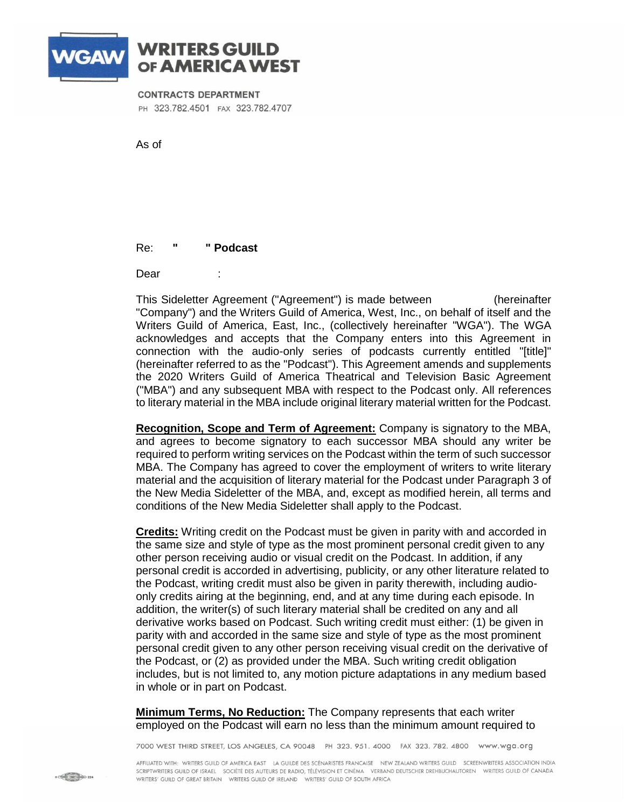

## **WRITERS GUILD** OF AMERICA WEST

## **CONTRACTS DEPARTMENT**

PH 323.782.4501 FAX 323.782.4707

As of

Re: **" Podcast** 

Dear

This Sideletter Agreement ("Agreement") is made between [[Company] (hereinafter "Company") and the Writers Guild of America, West, Inc., on behalf of itself and the Writers Guild of America, East, Inc., (collectively hereinafter "WGA"). The WGA acknowledges and accepts that the Company enters into this Agreement in connection with the audio-only series of podcasts currently entitled "[title]" (hereinafter referred to as the "Podcast"). This Agreement amends and supplements the 2020 Writers Guild of America Theatrical and Television Basic Agreement ("MBA") and any subsequent MBA with respect to the Podcast only. All references to literary material in the MBA include original literary material written for the Podcast.

**Recognition, Scope and Term of Agreement:** Company is signatory to the MBA, and agrees to become signatory to each successor MBA should any writer be required to perform writing services on the Podcast within the term of such successor MBA. The Company has agreed to cover the employment of writers to write literary material and the acquisition of literary material for the Podcast under Paragraph 3 of the New Media Sideletter of the MBA, and, except as modified herein, all terms and conditions of the New Media Sideletter shall apply to the Podcast.

**Credits:** Writing credit on the Podcast must be given in parity with and accorded in the same size and style of type as the most prominent personal credit given to any other person receiving audio or visual credit on the Podcast. In addition, if any personal credit is accorded in advertising, publicity, or any other literature related to the Podcast, writing credit must also be given in parity therewith, including audioonly credits airing at the beginning, end, and at any time during each episode. In addition, the writer(s) of such literary material shall be credited on any and all derivative works based on Podcast. Such writing credit must either: (1) be given in parity with and accorded in the same size and style of type as the most prominent personal credit given to any other person receiving visual credit on the derivative of the Podcast, or (2) as provided under the MBA. Such writing credit obligation includes, but is not limited to, any motion picture adaptations in any medium based in whole or in part on Podcast.

**Minimum Terms, No Reduction:** The Company represents that each writer employed on the Podcast will earn no less than the minimum amount required to

7000 WEST THIRD STREET, LOS ANGELES, CA 90048 PH 323. 951. 4000 FAX 323. 782. 4800 www.wga.org

AFFILIATED WITH: WRITERS GUILD OF AMERICA EAST LA GUILDE DES SCÉNARISTES FRANCAISE NEW ZEALAND WRITERS GUILD SCREENWRITERS ASSOCIATION INDIA SCRIPTWRITERS GUILD OF ISRAEL SOCIÉTÉ DES AUTEURS DE RADIO, TÉLÉVISION ET CINÉMA VERBAND DEUTSCHER DREHBUCHAUTOREN WRITERS GUILD OF CANADA WRITERS' GUILD OF GREAT BRITAIN WRITERS GUILD OF IRELAND WRITERS' GUILD OF SOUTH AFRICA

**8 CHANNEL CORNER 224**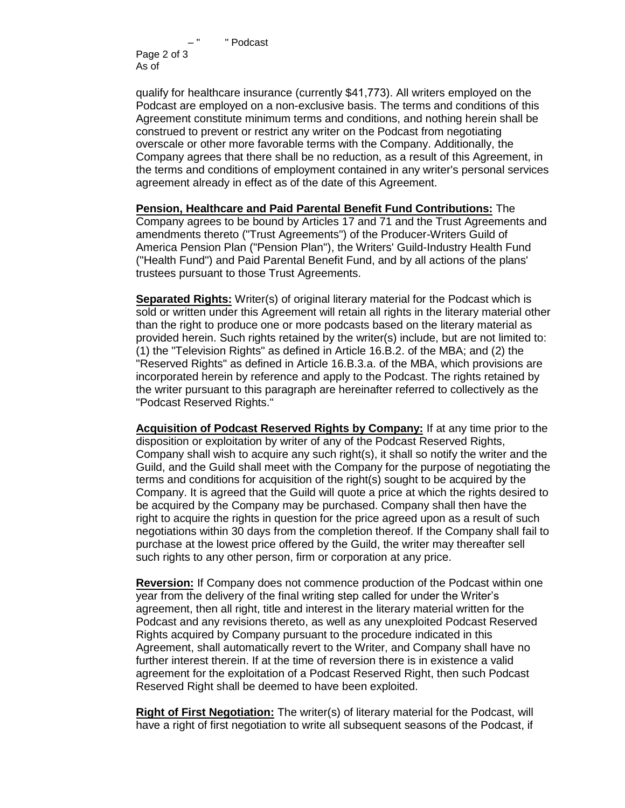" Podcast Page 2 of 3 As of  $\overline{D}$ 

qualify for healthcare insurance (currently \$41,773). All writers employed on the Podcast are employed on a non-exclusive basis. The terms and conditions of this Agreement constitute minimum terms and conditions, and nothing herein shall be construed to prevent or restrict any writer on the Podcast from negotiating overscale or other more favorable terms with the Company. Additionally, the Company agrees that there shall be no reduction, as a result of this Agreement, in the terms and conditions of employment contained in any writer's personal services agreement already in effect as of the date of this Agreement.

**Pension, Healthcare and Paid Parental Benefit Fund Contributions:** The Company agrees to be bound by Articles 17 and 71 and the Trust Agreements and amendments thereto ("Trust Agreements") of the Producer-Writers Guild of America Pension Plan ("Pension Plan"), the Writers' Guild-Industry Health Fund ("Health Fund") and Paid Parental Benefit Fund, and by all actions of the plans' trustees pursuant to those Trust Agreements.

**Separated Rights:** Writer(s) of original literary material for the Podcast which is sold or written under this Agreement will retain all rights in the literary material other than the right to produce one or more podcasts based on the literary material as provided herein. Such rights retained by the writer(s) include, but are not limited to: (1) the "Television Rights" as defined in Article 16.B.2. of the MBA; and (2) the "Reserved Rights" as defined in Article 16.B.3.a. of the MBA, which provisions are incorporated herein by reference and apply to the Podcast. The rights retained by the writer pursuant to this paragraph are hereinafter referred to collectively as the "Podcast Reserved Rights."

**Acquisition of Podcast Reserved Rights by Company:** If at any time prior to the disposition or exploitation by writer of any of the Podcast Reserved Rights, Company shall wish to acquire any such right(s), it shall so notify the writer and the Guild, and the Guild shall meet with the Company for the purpose of negotiating the terms and conditions for acquisition of the right(s) sought to be acquired by the Company. It is agreed that the Guild will quote a price at which the rights desired to be acquired by the Company may be purchased. Company shall then have the right to acquire the rights in question for the price agreed upon as a result of such negotiations within 30 days from the completion thereof. If the Company shall fail to purchase at the lowest price offered by the Guild, the writer may thereafter sell such rights to any other person, firm or corporation at any price.

**Reversion:** If Company does not commence production of the Podcast within one year from the delivery of the final writing step called for under the Writer's agreement, then all right, title and interest in the literary material written for the Podcast and any revisions thereto, as well as any unexploited Podcast Reserved Rights acquired by Company pursuant to the procedure indicated in this Agreement, shall automatically revert to the Writer, and Company shall have no further interest therein. If at the time of reversion there is in existence a valid agreement for the exploitation of a Podcast Reserved Right, then such Podcast Reserved Right shall be deemed to have been exploited.

**Right of First Negotiation:** The writer(s) of literary material for the Podcast, will have a right of first negotiation to write all subsequent seasons of the Podcast, if